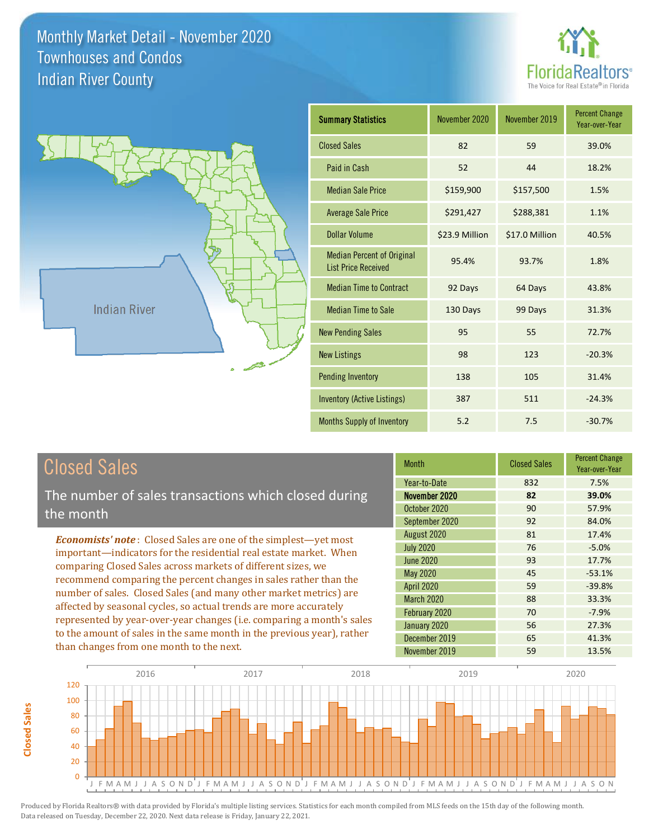



| <b>Summary Statistics</b>                                       | November 2020  | November 2019  | <b>Percent Change</b><br>Year-over-Year |
|-----------------------------------------------------------------|----------------|----------------|-----------------------------------------|
| <b>Closed Sales</b>                                             | 82             | 59             | 39.0%                                   |
| Paid in Cash                                                    | 52             | 44             | 18.2%                                   |
| <b>Median Sale Price</b>                                        | \$159,900      | \$157,500      | 1.5%                                    |
| <b>Average Sale Price</b>                                       | \$291,427      | \$288,381      | 1.1%                                    |
| Dollar Volume                                                   | \$23.9 Million | \$17.0 Million | 40.5%                                   |
| <b>Median Percent of Original</b><br><b>List Price Received</b> | 95.4%          | 93.7%          | 1.8%                                    |
| <b>Median Time to Contract</b>                                  | 92 Days        | 64 Days        | 43.8%                                   |
| <b>Median Time to Sale</b>                                      | 130 Days       | 99 Days        | 31.3%                                   |
| <b>New Pending Sales</b>                                        | 95             | 55             | 72.7%                                   |
| <b>New Listings</b>                                             | 98             | 123            | $-20.3%$                                |
| <b>Pending Inventory</b>                                        | 138            | 105            | 31.4%                                   |
| <b>Inventory (Active Listings)</b>                              | 387            | 511            | $-24.3%$                                |
| Months Supply of Inventory                                      | 5.2            | 7.5            | $-30.7%$                                |

| <b>Closed Sales</b> |
|---------------------|
|---------------------|

**Closed Sales**

**Closed Sales** 

The number of sales transactions which closed during the month

*Economists' note* : Closed Sales are one of the simplest—yet most important—indicators for the residential real estate market. When comparing Closed Sales across markets of different sizes, we recommend comparing the percent changes in sales rather than the number of sales. Closed Sales (and many other market metrics) are affected by seasonal cycles, so actual trends are more accurately represented by year-over-year changes (i.e. comparing a month's sales to the amount of sales in the same month in the previous year), rather than changes from one month to the next.

| <b>Month</b>      | <b>Closed Sales</b> | <b>Percent Change</b><br>Year-over-Year |
|-------------------|---------------------|-----------------------------------------|
| Year-to-Date      | 832                 | 7.5%                                    |
| November 2020     | 82                  | 39.0%                                   |
| October 2020      | 90                  | 57.9%                                   |
| September 2020    | 92                  | 84.0%                                   |
| August 2020       | 81                  | 17.4%                                   |
| <b>July 2020</b>  | 76                  | $-5.0%$                                 |
| <b>June 2020</b>  | 93                  | 17.7%                                   |
| May 2020          | 45                  | $-53.1%$                                |
| <b>April 2020</b> | 59                  | $-39.8%$                                |
| March 2020        | 88                  | 33.3%                                   |
| February 2020     | 70                  | $-7.9%$                                 |
| January 2020      | 56                  | 27.3%                                   |
| December 2019     | 65                  | 41.3%                                   |
| November 2019     | 59                  | 13.5%                                   |

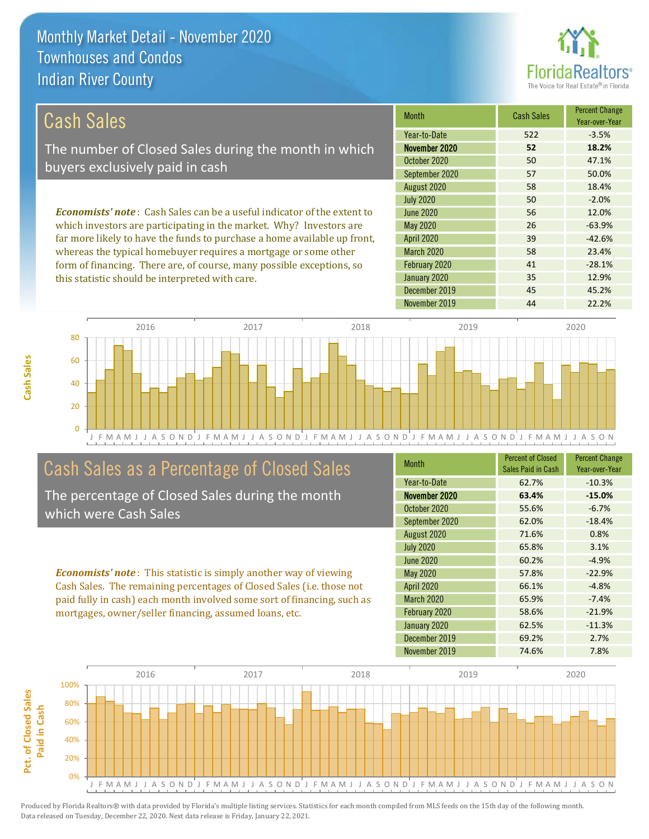this statistic should be interpreted with care.



35 12.9%

#### March 2020 58 23.4% February 2020 *Economists' note* : Cash Sales can be a useful indicator of the extent to which investors are participating in the market. Why? Investors are far more likely to have the funds to purchase a home available up front, whereas the typical homebuyer requires a mortgage or some other form of financing. There are, of course, many possible exceptions, so 41 -28.1% 58 18.4% July 2020 **50** 50 -2.0% April 2020 39 -42.6% June 2020 56 56 12.0% May 2020 26 -63.9% August 2020 Month Cash Sales Percent Change Year-over-Year November 2020 **52 18.2%** October 2020 50 50 47.1% September 2020 57 57 50.0% Year-to-Date 522 53.5% Cash Sales The number of Closed Sales during the month in which buyers exclusively paid in cash



# Cash Sales as a Percentage of Closed Sales

The percentage of Closed Sales during the month which were Cash Sales

*Economists' note* : This statistic is simply another way of viewing Cash Sales. The remaining percentages of Closed Sales (i.e. those not paid fully in cash) each month involved some sort of financing, such as mortgages, owner/seller financing, assumed loans, etc.

| <b>Month</b>      | <b>Percent of Closed</b><br>Sales Paid in Cash | <b>Percent Change</b><br>Year-over-Year |
|-------------------|------------------------------------------------|-----------------------------------------|
| Year-to-Date      | 62.7%                                          | $-10.3%$                                |
| November 2020     | 63.4%                                          | $-15.0%$                                |
| October 2020      | 55.6%                                          | $-6.7%$                                 |
| September 2020    | 62.0%                                          | $-18.4%$                                |
| August 2020       | 71.6%                                          | 0.8%                                    |
| <b>July 2020</b>  | 65.8%                                          | 3.1%                                    |
| June 2020         | 60.2%                                          | $-4.9%$                                 |
| <b>May 2020</b>   | 57.8%                                          | $-22.9%$                                |
| <b>April 2020</b> | 66.1%                                          | $-4.8%$                                 |
| <b>March 2020</b> | 65.9%                                          | $-7.4%$                                 |
| February 2020     | 58.6%                                          | $-21.9%$                                |
| January 2020      | 62.5%                                          | $-11.3%$                                |
| December 2019     | 69.2%                                          | 2.7%                                    |
| November 2019     | 74.6%                                          | 7.8%                                    |

December 2019 **45 45.2%** 

January 2020

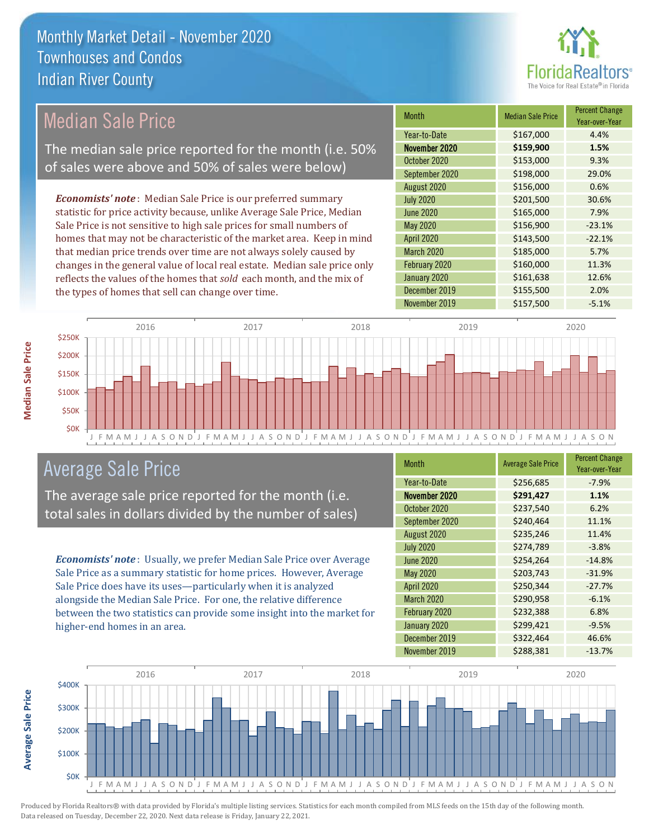

# Median Sale Price

The median sale price reported for the month (i.e. 50% of sales were above and 50% of sales were below)

*Economists' note* : Median Sale Price is our preferred summary statistic for price activity because, unlike Average Sale Price, Median Sale Price is not sensitive to high sale prices for small numbers of homes that may not be characteristic of the market area. Keep in mind that median price trends over time are not always solely caused by changes in the general value of local real estate. Median sale price only reflects the values of the homes that *sold* each month, and the mix of the types of homes that sell can change over time.

| <b>Month</b>     | <b>Median Sale Price</b> | <b>Percent Change</b><br>Year-over-Year |
|------------------|--------------------------|-----------------------------------------|
| Year-to-Date     | \$167,000                | 4.4%                                    |
| November 2020    | \$159,900                | 1.5%                                    |
| October 2020     | \$153,000                | 9.3%                                    |
| September 2020   | \$198,000                | 29.0%                                   |
| August 2020      | \$156,000                | 0.6%                                    |
| <b>July 2020</b> | \$201,500                | 30.6%                                   |
| <b>June 2020</b> | \$165,000                | 7.9%                                    |
| May 2020         | \$156,900                | $-23.1%$                                |
| April 2020       | \$143,500                | $-22.1%$                                |
| March 2020       | \$185,000                | 5.7%                                    |
| February 2020    | \$160,000                | 11.3%                                   |
| January 2020     | \$161,638                | 12.6%                                   |
| December 2019    | \$155,500                | 2.0%                                    |
| November 2019    | \$157,500                | $-5.1%$                                 |



# Average Sale Price

The average sale price reported for the month (i.e. total sales in dollars divided by the number of sales)

*Economists' note* : Usually, we prefer Median Sale Price over Average Sale Price as a summary statistic for home prices. However, Average Sale Price does have its uses—particularly when it is analyzed alongside the Median Sale Price. For one, the relative difference between the two statistics can provide some insight into the market for higher-end homes in an area.

| <b>Month</b>      | <b>Average Sale Price</b> | <b>Percent Change</b><br>Year-over-Year |
|-------------------|---------------------------|-----------------------------------------|
| Year-to-Date      | \$256,685                 | $-7.9%$                                 |
| November 2020     | \$291,427                 | 1.1%                                    |
| October 2020      | \$237,540                 | 6.2%                                    |
| September 2020    | \$240,464                 | 11.1%                                   |
| August 2020       | \$235,246                 | 11.4%                                   |
| <b>July 2020</b>  | \$274,789                 | $-3.8%$                                 |
| <b>June 2020</b>  | \$254,264                 | $-14.8%$                                |
| May 2020          | \$203,743                 | $-31.9%$                                |
| April 2020        | \$250,344                 | $-27.7%$                                |
| <b>March 2020</b> | \$290,958                 | $-6.1%$                                 |
| February 2020     | \$232,388                 | 6.8%                                    |
| January 2020      | \$299,421                 | $-9.5%$                                 |
| December 2019     | \$322,464                 | 46.6%                                   |
| November 2019     | \$288,381                 | $-13.7%$                                |



**Average Sale Price**

**Average Sale Price**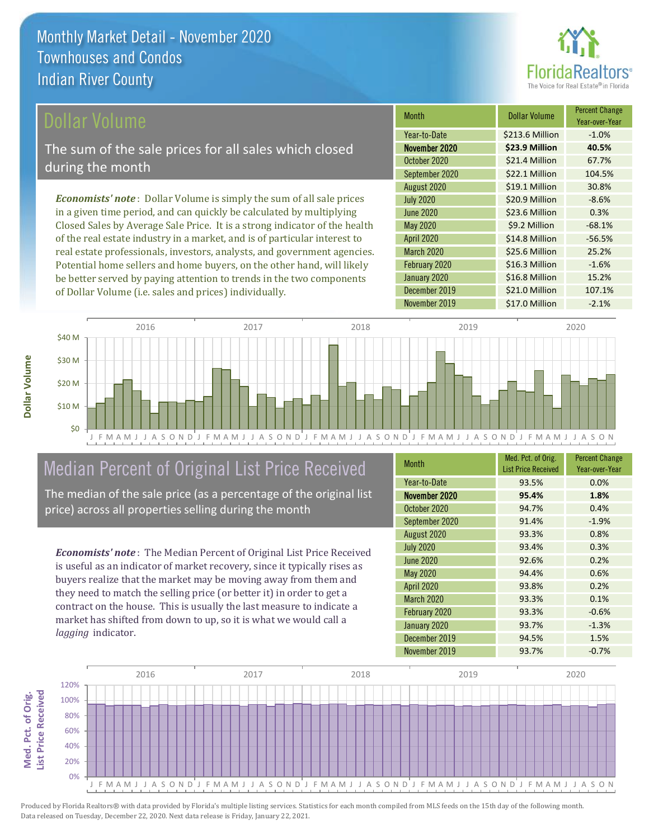

## ollar Volume

The sum of the sale prices for all sales which closed during the month

*Economists' note* : Dollar Volume is simply the sum of all sale prices in a given time period, and can quickly be calculated by multiplying Closed Sales by Average Sale Price. It is a strong indicator of the health of the real estate industry in a market, and is of particular interest to real estate professionals, investors, analysts, and government agencies. Potential home sellers and home buyers, on the other hand, will likely be better served by paying attention to trends in the two components of Dollar Volume (i.e. sales and prices) individually.

| <b>Month</b>      | Dollar Volume   | <b>Percent Change</b><br>Year-over-Year |
|-------------------|-----------------|-----------------------------------------|
| Year-to-Date      | \$213.6 Million | $-1.0%$                                 |
| November 2020     | \$23.9 Million  | 40.5%                                   |
| October 2020      | \$21.4 Million  | 67.7%                                   |
| September 2020    | \$22.1 Million  | 104.5%                                  |
| August 2020       | \$19.1 Million  | 30.8%                                   |
| <b>July 2020</b>  | \$20.9 Million  | $-8.6%$                                 |
| <b>June 2020</b>  | \$23.6 Million  | 0.3%                                    |
| May 2020          | \$9.2 Million   | $-68.1%$                                |
| <b>April 2020</b> | \$14.8 Million  | $-56.5%$                                |
| <b>March 2020</b> | \$25.6 Million  | 25.2%                                   |
| February 2020     | \$16.3 Million  | $-1.6%$                                 |
| January 2020      | \$16.8 Million  | 15.2%                                   |
| December 2019     | \$21.0 Million  | 107.1%                                  |
| November 2019     | \$17.0 Million  | $-2.1%$                                 |



# Median Percent of Original List Price Received

The median of the sale price (as a percentage of the original list price) across all properties selling during the month

*Economists' note* : The Median Percent of Original List Price Received is useful as an indicator of market recovery, since it typically rises as buyers realize that the market may be moving away from them and they need to match the selling price (or better it) in order to get a contract on the house. This is usually the last measure to indicate a market has shifted from down to up, so it is what we would call a *lagging* indicator.

| <b>Month</b>      | Med. Pct. of Orig.<br><b>List Price Received</b> | <b>Percent Change</b><br>Year-over-Year |
|-------------------|--------------------------------------------------|-----------------------------------------|
| Year-to-Date      | 93.5%                                            | 0.0%                                    |
| November 2020     | 95.4%                                            | 1.8%                                    |
| October 2020      | 94.7%                                            | 0.4%                                    |
| September 2020    | 91.4%                                            | $-1.9%$                                 |
| August 2020       | 93.3%                                            | 0.8%                                    |
| <b>July 2020</b>  | 93.4%                                            | 0.3%                                    |
| <b>June 2020</b>  | 92.6%                                            | 0.2%                                    |
| May 2020          | 94.4%                                            | 0.6%                                    |
| <b>April 2020</b> | 93.8%                                            | 0.2%                                    |
| <b>March 2020</b> | 93.3%                                            | 0.1%                                    |
| February 2020     | 93.3%                                            | $-0.6%$                                 |
| January 2020      | 93.7%                                            | $-1.3%$                                 |
| December 2019     | 94.5%                                            | 1.5%                                    |
| November 2019     | 93.7%                                            | $-0.7%$                                 |

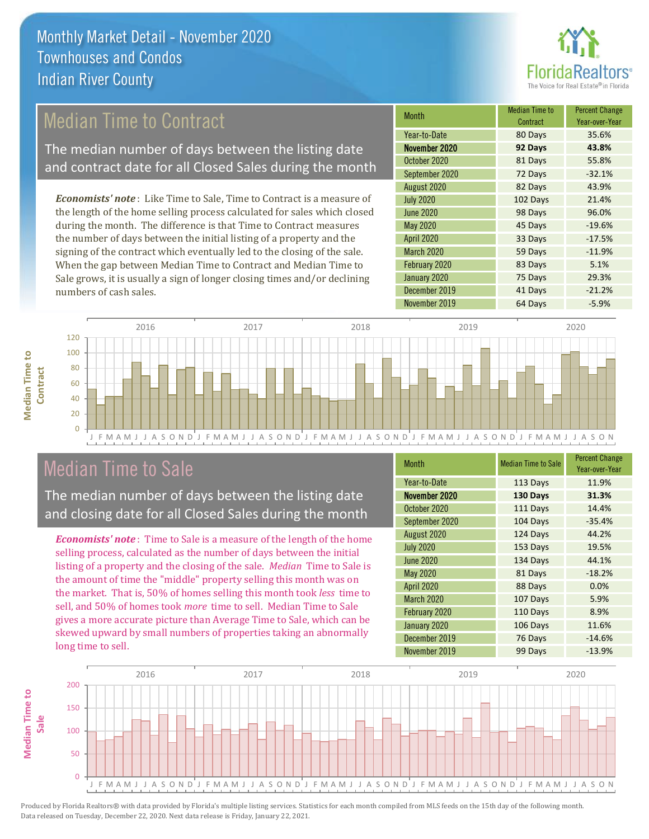

# Median Time to Contract

The median number of days between the listing date and contract date for all Closed Sales during the month

*Economists' note* : Like Time to Sale, Time to Contract is a measure of the length of the home selling process calculated for sales which closed during the month. The difference is that Time to Contract measures the number of days between the initial listing of a property and the signing of the contract which eventually led to the closing of the sale. When the gap between Median Time to Contract and Median Time to Sale grows, it is usually a sign of longer closing times and/or declining numbers of cash sales.

| Month             | <b>Median Time to</b><br>Contract | <b>Percent Change</b><br>Year-over-Year |
|-------------------|-----------------------------------|-----------------------------------------|
| Year-to-Date      | 80 Days                           | 35.6%                                   |
| November 2020     | 92 Days                           | 43.8%                                   |
| October 2020      | 81 Days                           | 55.8%                                   |
| September 2020    | 72 Days                           | $-32.1%$                                |
| August 2020       | 82 Days                           | 43.9%                                   |
| <b>July 2020</b>  | 102 Days                          | 21.4%                                   |
| <b>June 2020</b>  | 98 Days                           | 96.0%                                   |
| May 2020          | 45 Days                           | $-19.6%$                                |
| April 2020        | 33 Days                           | $-17.5%$                                |
| <b>March 2020</b> | 59 Days                           | $-11.9%$                                |
| February 2020     | 83 Days                           | 5.1%                                    |
| January 2020      | 75 Days                           | 29.3%                                   |
| December 2019     | 41 Days                           | $-21.2%$                                |
| November 2019     | 64 Days                           | $-5.9%$                                 |



# Median Time to Sale

**Median Time to Contract**

**Median Time to** 

The median number of days between the listing date and closing date for all Closed Sales during the month

*Economists' note* : Time to Sale is a measure of the length of the home selling process, calculated as the number of days between the initial listing of a property and the closing of the sale. *Median* Time to Sale is the amount of time the "middle" property selling this month was on the market. That is, 50% of homes selling this month took *less* time to sell, and 50% of homes took *more* time to sell. Median Time to Sale gives a more accurate picture than Average Time to Sale, which can be skewed upward by small numbers of properties taking an abnormally long time to sell.

| <b>Month</b>      | <b>Median Time to Sale</b> | <b>Percent Change</b><br>Year-over-Year |
|-------------------|----------------------------|-----------------------------------------|
| Year-to-Date      | 113 Days                   | 11.9%                                   |
| November 2020     | 130 Days                   | 31.3%                                   |
| October 2020      | 111 Days                   | 14.4%                                   |
| September 2020    | 104 Days                   | $-35.4%$                                |
| August 2020       | 124 Days                   | 44.2%                                   |
| <b>July 2020</b>  | 153 Days                   | 19.5%                                   |
| <b>June 2020</b>  | 134 Days                   | 44.1%                                   |
| <b>May 2020</b>   | 81 Days                    | $-18.2%$                                |
| April 2020        | 88 Days                    | 0.0%                                    |
| <b>March 2020</b> | 107 Days                   | 5.9%                                    |
| February 2020     | 110 Days                   | 8.9%                                    |
| January 2020      | 106 Days                   | 11.6%                                   |
| December 2019     | 76 Days                    | $-14.6%$                                |
| November 2019     | 99 Days                    | $-13.9%$                                |

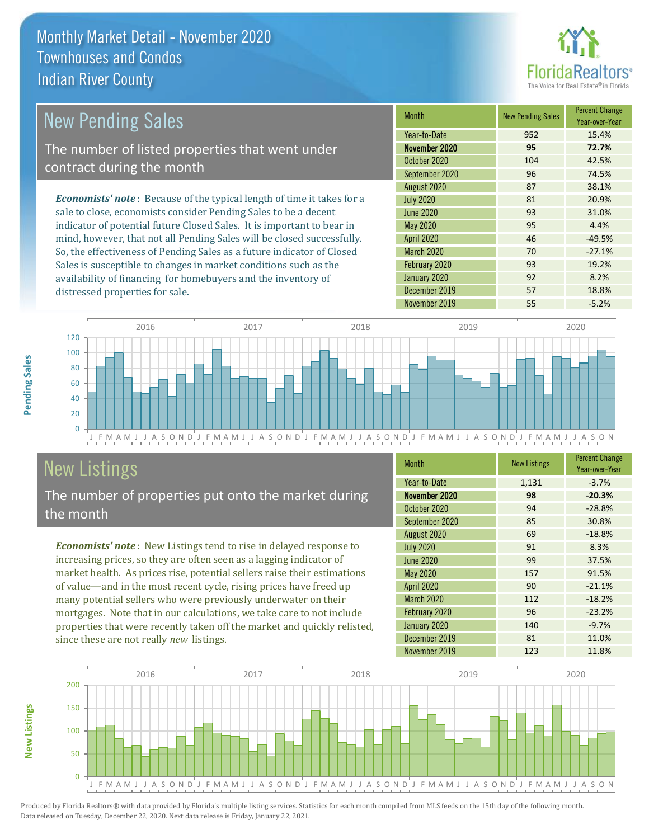

#### March 2020 70 -27.1% February 2020 93 19.2% May 2020 **95** 4.4% August 2020 **87** 38.1% July 2020 81 20.9% 42.5% September 2020 96 96 74.5% June 2020 93 31.0% *Economists' note* : Because of the typical length of time it takes for a sale to close, economists consider Pending Sales to be a decent indicator of potential future Closed Sales. It is important to bear in mind, however, that not all Pending Sales will be closed successfully. So, the effectiveness of Pending Sales as a future indicator of Closed Sales is susceptible to changes in market conditions such as the Month New Pending Sales Percent Change Year-over-Year November 2020 **95 72.7%** Year-to-Date 952 15.4% April 2020 **46** -49.5% October 2020 104 New Pending Sales The number of listed properties that went under contract during the month

J F M A M J J A S O N D J F M A M J J A S O N D J F M A M J J A S O N D J F M A M J J A S O N D J F M A M J J A S O N  $\Omega$ 20 40 60 80 100 120 2016 2017 2018 2019 2020

# **New Listings**

distressed properties for sale.

The number of properties put onto the market during the month

availability of financing for homebuyers and the inventory of

*Economists' note* : New Listings tend to rise in delayed response to increasing prices, so they are often seen as a lagging indicator of market health. As prices rise, potential sellers raise their estimations of value—and in the most recent cycle, rising prices have freed up many potential sellers who were previously underwater on their mortgages. Note that in our calculations, we take care to not include properties that were recently taken off the market and quickly relisted, since these are not really *new* listings.

| <b>Month</b>      | <b>New Listings</b> | <b>Percent Change</b><br>Year-over-Year |
|-------------------|---------------------|-----------------------------------------|
| Year-to-Date      | 1,131               | $-3.7%$                                 |
| November 2020     | 98                  | $-20.3%$                                |
| October 2020      | 94                  | $-28.8%$                                |
| September 2020    | 85                  | 30.8%                                   |
| August 2020       | 69                  | $-18.8%$                                |
| <b>July 2020</b>  | 91                  | 8.3%                                    |
| June 2020         | 99                  | 37.5%                                   |
| <b>May 2020</b>   | 157                 | 91.5%                                   |
| April 2020        | 90                  | $-21.1%$                                |
| <b>March 2020</b> | 112                 | $-18.2%$                                |
| February 2020     | 96                  | $-23.2%$                                |
| January 2020      | 140                 | $-9.7%$                                 |
| December 2019     | 81                  | 11.0%                                   |
| November 2019     | 123                 | 11.8%                                   |

November 2019 **55** 55 -5.2%

January 2020 **92** 8.2% December 2019 **57** 18.8%



Produced by Florida Realtors® with data provided by Florida's multiple listing services. Statistics for each month compiled from MLS feeds on the 15th day of the following month. Data released on Tuesday, December 22, 2020. Next data release is Friday, January 22, 2021.

**New Listings**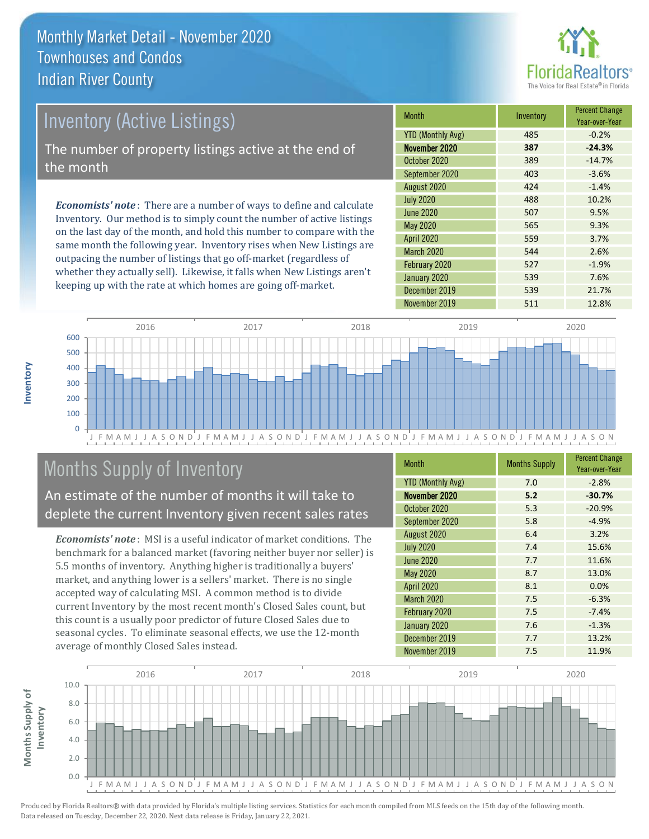

# Inventory (Active Listings)

The number of property listings active at the end of the month

*Economists' note* : There are a number of ways to define and calculate Inventory. Our method is to simply count the number of active listings on the last day of the month, and hold this number to compare with the same month the following year. Inventory rises when New Listings are outpacing the number of listings that go off-market (regardless of whether they actually sell). Likewise, it falls when New Listings aren't keeping up with the rate at which homes are going off-market.

| <b>Month</b>             | Inventory | <b>Percent Change</b><br>Year-over-Year |
|--------------------------|-----------|-----------------------------------------|
| <b>YTD (Monthly Avg)</b> | 485       | $-0.2%$                                 |
| November 2020            | 387       | $-24.3%$                                |
| October 2020             | 389       | $-14.7%$                                |
| September 2020           | 403       | $-3.6%$                                 |
| August 2020              | 424       | $-1.4%$                                 |
| <b>July 2020</b>         | 488       | 10.2%                                   |
| <b>June 2020</b>         | 507       | 9.5%                                    |
| May 2020                 | 565       | 9.3%                                    |
| <b>April 2020</b>        | 559       | 3.7%                                    |
| <b>March 2020</b>        | 544       | 2.6%                                    |
| February 2020            | 527       | $-1.9%$                                 |
| January 2020             | 539       | 7.6%                                    |
| December 2019            | 539       | 21.7%                                   |
| November 2019            | 511       | 12.8%                                   |



# Months Supply of Inventory

An estimate of the number of months it will take to deplete the current Inventory given recent sales rates

*Economists' note* : MSI is a useful indicator of market conditions. The benchmark for a balanced market (favoring neither buyer nor seller) is 5.5 months of inventory. Anything higher is traditionally a buyers' market, and anything lower is a sellers' market. There is no single accepted way of calculating MSI. A common method is to divide current Inventory by the most recent month's Closed Sales count, but this count is a usually poor predictor of future Closed Sales due to seasonal cycles. To eliminate seasonal effects, we use the 12-month average of monthly Closed Sales instead.

| <b>Month</b>             | <b>Months Supply</b> | <b>Percent Change</b><br>Year-over-Year |
|--------------------------|----------------------|-----------------------------------------|
| <b>YTD (Monthly Avg)</b> | 7.0                  | $-2.8%$                                 |
| November 2020            | 5.2                  | $-30.7%$                                |
| October 2020             | 5.3                  | $-20.9%$                                |
| September 2020           | 5.8                  | $-4.9%$                                 |
| August 2020              | 6.4                  | 3.2%                                    |
| <b>July 2020</b>         | 7.4                  | 15.6%                                   |
| <b>June 2020</b>         | 7.7                  | 11.6%                                   |
| May 2020                 | 8.7                  | 13.0%                                   |
| <b>April 2020</b>        | 8.1                  | 0.0%                                    |
| <b>March 2020</b>        | 7.5                  | $-6.3%$                                 |
| February 2020            | 7.5                  | $-7.4%$                                 |
| January 2020             | 7.6                  | $-1.3%$                                 |
| December 2019            | 7.7                  | 13.2%                                   |
| November 2019            | 7.5                  | 11.9%                                   |

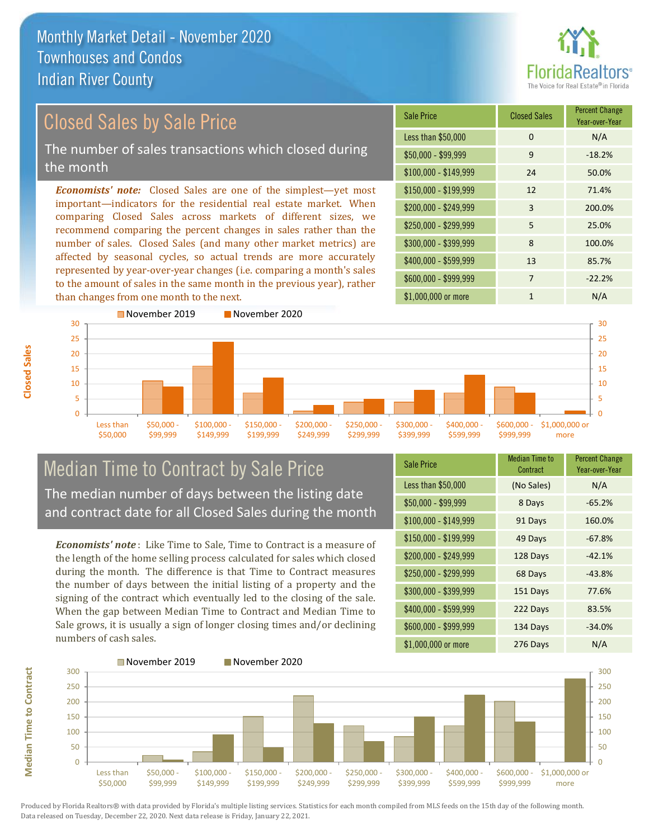

Year-over-Year

#### \$100,000 - \$149,999 24 50.0% Sale Price Closed Sales Percent Change Less than \$50,000 0 0 N/A  $$50,000 - $99,999$  9 -18.2% \$150,000 - \$199,999 12 71.4% \$200,000 - \$249,999 3 200.0% \$400,000 - \$599,999 13 85.7% *Economists' note:* Closed Sales are one of the simplest—yet most important—indicators for the residential real estate market. When comparing Closed Sales across markets of different sizes, we recommend comparing the percent changes in sales rather than the number of sales. Closed Sales (and many other market metrics) are affected by seasonal cycles, so actual trends are more accurately represented by year-over-year changes (i.e. comparing a month's sales \$250,000 - \$299,999 5 25.0% \$300,000 - \$399,999 8 100.0% Closed Sales by Sale Price The number of sales transactions which closed during the month



## Median Time to Contract by Sale Price The median number of days between the listing date and contract date for all Closed Sales during the month

to the amount of sales in the same month in the previous year), rather

*Economists' note* : Like Time to Sale, Time to Contract is a measure of the length of the home selling process calculated for sales which closed during the month. The difference is that Time to Contract measures the number of days between the initial listing of a property and the signing of the contract which eventually led to the closing of the sale. When the gap between Median Time to Contract and Median Time to Sale grows, it is usually a sign of longer closing times and/or declining numbers of cash sales.

| <b>Sale Price</b>     | <b>Median Time to</b><br>Contract | <b>Percent Change</b><br>Year-over-Year |
|-----------------------|-----------------------------------|-----------------------------------------|
| Less than \$50,000    | (No Sales)                        | N/A                                     |
| $$50,000 - $99,999$   | 8 Days                            | $-65.2%$                                |
| $$100,000 - $149,999$ | 91 Days                           | 160.0%                                  |
| $$150,000 - $199,999$ | 49 Days                           | $-67.8%$                                |
| \$200,000 - \$249,999 | 128 Days                          | $-42.1%$                                |
| \$250,000 - \$299,999 | 68 Days                           | $-43.8%$                                |
| \$300,000 - \$399,999 | 151 Days                          | 77.6%                                   |
| \$400,000 - \$599,999 | 222 Days                          | 83.5%                                   |
| \$600,000 - \$999,999 | 134 Days                          | $-34.0%$                                |
| \$1,000,000 or more   | 276 Days                          | N/A                                     |

\$600,000 - \$999,999 7 -22.2%



**Closed Sales**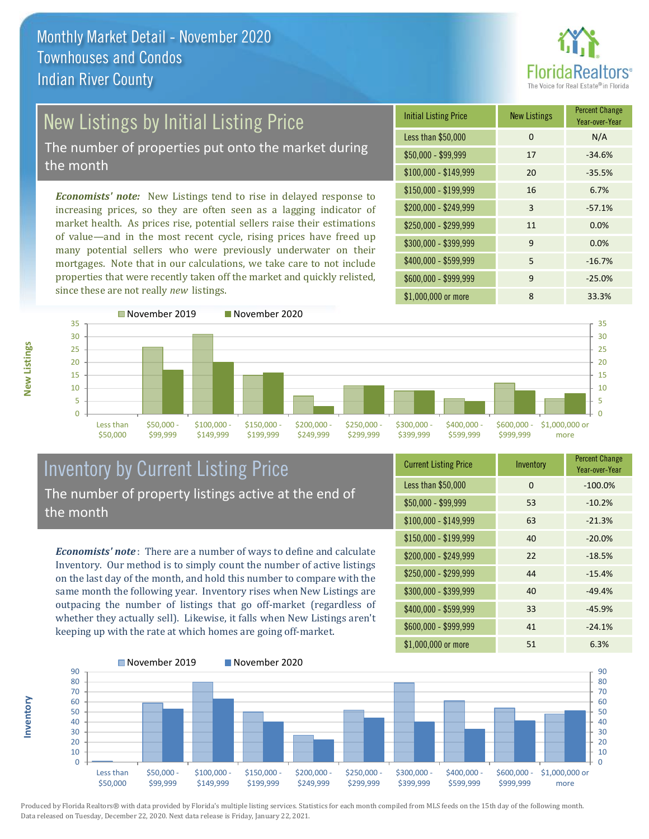

# New Listings by Initial Listing Price

The number of properties put onto the market during the month

*Economists' note:* New Listings tend to rise in delayed response to increasing prices, so they are often seen as a lagging indicator of market health. As prices rise, potential sellers raise their estimations of value—and in the most recent cycle, rising prices have freed up many potential sellers who were previously underwater on their mortgages. Note that in our calculations, we take care to not include properties that were recently taken off the market and quickly relisted, since these are not really *new* listings.

| <b>Initial Listing Price</b> | <b>New Listings</b> | <b>Percent Change</b><br>Year-over-Year |
|------------------------------|---------------------|-----------------------------------------|
| Less than \$50,000           | $\Omega$            | N/A                                     |
| $$50,000 - $99,999$          | 17                  | $-34.6%$                                |
| $$100,000 - $149,999$        | 20                  | $-35.5%$                                |
| $$150,000 - $199,999$        | 16                  | 6.7%                                    |
| \$200,000 - \$249,999        | 3                   | $-57.1%$                                |
| \$250,000 - \$299,999        | 11                  | 0.0%                                    |
| \$300,000 - \$399,999        | 9                   | 0.0%                                    |
| \$400,000 - \$599,999        | 5                   | $-16.7%$                                |
| \$600,000 - \$999,999        | 9                   | $-25.0%$                                |
| \$1,000,000 or more          | 8                   | 33.3%                                   |



## Inventory by Current Listing Price The number of property listings active at the end of the month

*Economists' note* : There are a number of ways to define and calculate Inventory. Our method is to simply count the number of active listings on the last day of the month, and hold this number to compare with the same month the following year. Inventory rises when New Listings are outpacing the number of listings that go off-market (regardless of whether they actually sell). Likewise, it falls when New Listings aren't keeping up with the rate at which homes are going off-market.

| <b>Current Listing Price</b> | Inventory | <b>Percent Change</b><br>Year-over-Year |
|------------------------------|-----------|-----------------------------------------|
| Less than \$50,000           | 0         | $-100.0%$                               |
| $$50,000 - $99,999$          | 53        | $-10.2%$                                |
| $$100,000 - $149,999$        | 63        | $-21.3%$                                |
| $$150,000 - $199,999$        | 40        | $-20.0%$                                |
| \$200,000 - \$249,999        | 22        | $-18.5%$                                |
| \$250,000 - \$299,999        | 44        | $-15.4%$                                |
| \$300,000 - \$399,999        | 40        | $-49.4%$                                |
| \$400,000 - \$599,999        | 33        | $-45.9%$                                |
| \$600,000 - \$999,999        | 41        | $-24.1%$                                |
| \$1,000,000 or more          | 51        | 6.3%                                    |



Produced by Florida Realtors® with data provided by Florida's multiple listing services. Statistics for each month compiled from MLS feeds on the 15th day of the following month. Data released on Tuesday, December 22, 2020. Next data release is Friday, January 22, 2021.

**Inventory**